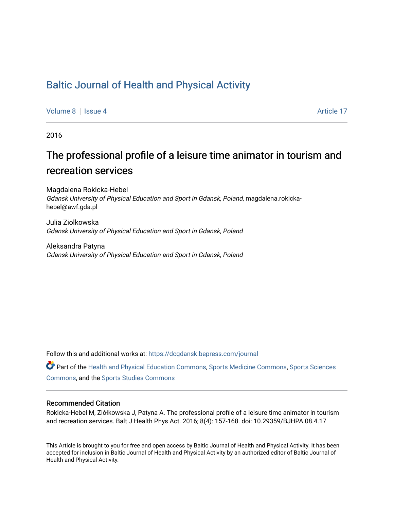## [Baltic Journal of Health and Physical Activity](https://dcgdansk.bepress.com/journal)

[Volume 8](https://dcgdansk.bepress.com/journal/vol8) | [Issue 4](https://dcgdansk.bepress.com/journal/vol8/iss4) Article 17

2016

# The professional profile of a leisure time animator in tourism and recreation services

Magdalena Rokicka-Hebel Gdansk University of Physical Education and Sport in Gdansk, Poland, magdalena.rokickahebel@awf.gda.pl

Julia Ziolkowska Gdansk University of Physical Education and Sport in Gdansk, Poland

Aleksandra Patyna Gdansk University of Physical Education and Sport in Gdansk, Poland

Follow this and additional works at: [https://dcgdansk.bepress.com/journal](https://dcgdansk.bepress.com/journal?utm_source=dcgdansk.bepress.com%2Fjournal%2Fvol8%2Fiss4%2F17&utm_medium=PDF&utm_campaign=PDFCoverPages)

Part of the [Health and Physical Education Commons](http://network.bepress.com/hgg/discipline/1327?utm_source=dcgdansk.bepress.com%2Fjournal%2Fvol8%2Fiss4%2F17&utm_medium=PDF&utm_campaign=PDFCoverPages), [Sports Medicine Commons,](http://network.bepress.com/hgg/discipline/1331?utm_source=dcgdansk.bepress.com%2Fjournal%2Fvol8%2Fiss4%2F17&utm_medium=PDF&utm_campaign=PDFCoverPages) [Sports Sciences](http://network.bepress.com/hgg/discipline/759?utm_source=dcgdansk.bepress.com%2Fjournal%2Fvol8%2Fiss4%2F17&utm_medium=PDF&utm_campaign=PDFCoverPages) [Commons](http://network.bepress.com/hgg/discipline/759?utm_source=dcgdansk.bepress.com%2Fjournal%2Fvol8%2Fiss4%2F17&utm_medium=PDF&utm_campaign=PDFCoverPages), and the [Sports Studies Commons](http://network.bepress.com/hgg/discipline/1198?utm_source=dcgdansk.bepress.com%2Fjournal%2Fvol8%2Fiss4%2F17&utm_medium=PDF&utm_campaign=PDFCoverPages) 

#### Recommended Citation

Rokicka-Hebel M, Ziółkowska J, Patyna A. The professional profile of a leisure time animator in tourism and recreation services. Balt J Health Phys Act. 2016; 8(4): 157-168. doi: 10.29359/BJHPA.08.4.17

This Article is brought to you for free and open access by Baltic Journal of Health and Physical Activity. It has been accepted for inclusion in Baltic Journal of Health and Physical Activity by an authorized editor of Baltic Journal of Health and Physical Activity.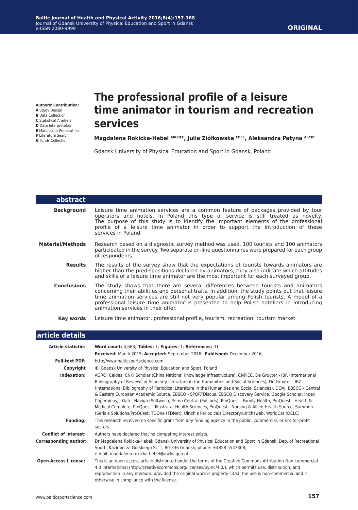#### **ORIGINAL**

**Authors' Contribution: A** Study Design **B** Data Collection **C** Statistical Analysis **D** Data Interpretation **E** Manuscript Preparation **F** Literature Search **G** Funds Collection

## **The professional profile of a leisure time animator in tourism and recreation services**

#### **Magdalena Rokicka-Hebel ABCDEF, Julia Ziółkowska CDEF, Aleksandra Patyna ABCDF**

Gdansk University of Physical Education and Sport in Gdansk, Poland

| abstract                |                                                                                                                                                                                                                                                                                                                                                                                                                |
|-------------------------|----------------------------------------------------------------------------------------------------------------------------------------------------------------------------------------------------------------------------------------------------------------------------------------------------------------------------------------------------------------------------------------------------------------|
| <b>Background</b>       | Leisure time animation services are a common feature of packages provided by tour<br>operators and hotels. In Poland this type of service is still treated as novelty.<br>The purpose of this study is to identify the important elements of the professional<br>profile of a leisure time animator in order to support the introduction of these<br>services in Poland.                                       |
| <b>Material/Methods</b> | Research based on a diagnostic survey method was used. 100 tourists and 100 animators<br>participated in the survey. Two separate on-line questionnaires were prepared for each group<br>of respondents.                                                                                                                                                                                                       |
| <b>Results</b>          | The results of the survey show that the expectations of tourists towards animators are<br>higher than the predispositions declared by animators; they also indicate which attitudes<br>and skills of a leisure time animator are the most important for each surveyed group.                                                                                                                                   |
| <b>Conclusions</b>      | The study shows that there are several differences between tourists and animators<br>concerning their abilities and personal traits. In addition, the study points out that leisure<br>time animation services are still not very popular among Polish tourists. A model of a<br>professional leisure time animator is presented to help Polish hoteliers in introducing<br>animation services in their offer. |
| Key words               | Leisure time animator, professional profile, tourism, recreation, tourism market                                                                                                                                                                                                                                                                                                                               |

#### **article details**

| <b>Article statistics</b>    | Word count: 4,668; Tables: 1; Figures: 1; References: 31                                                                                                                                                                                                                                                                                                                                                                                                                                                                                                                                                                                                                                                                                                                                             |  |  |
|------------------------------|------------------------------------------------------------------------------------------------------------------------------------------------------------------------------------------------------------------------------------------------------------------------------------------------------------------------------------------------------------------------------------------------------------------------------------------------------------------------------------------------------------------------------------------------------------------------------------------------------------------------------------------------------------------------------------------------------------------------------------------------------------------------------------------------------|--|--|
|                              | Received: March 2015; Accepted: September 2016; Published: December 2016                                                                                                                                                                                                                                                                                                                                                                                                                                                                                                                                                                                                                                                                                                                             |  |  |
| <b>Full-text PDF:</b>        | http://www.balticsportscience.com                                                                                                                                                                                                                                                                                                                                                                                                                                                                                                                                                                                                                                                                                                                                                                    |  |  |
| Copyright                    | © Gdansk University of Physical Education and Sport, Poland                                                                                                                                                                                                                                                                                                                                                                                                                                                                                                                                                                                                                                                                                                                                          |  |  |
| Indexation:                  | AGRO, Celdes, CNKI Scholar (China National Knowledge Infrastructure), CNPIEC, De Gruyter - IBR (International<br>Bibliography of Reviews of Scholarly Literature in the Humanities and Social Sciences), De Gruyter - IBZ<br>(International Bibliography of Periodical Literature in the Humanities and Social Sciences), DOAJ, EBSCO - Central<br>& Eastern European Academic Source, EBSCO - SPORTDiscus, EBSCO Discovery Service, Google Scholar, Index<br>Copernicus, J-Gate, Naviga (Softweco, Primo Central (ExLibris), ProQuest - Family Health, ProQuest - Health &<br>Medical Complete, ProQuest - Illustrata: Health Sciences, ProQuest - Nursing & Allied Health Source, Summon<br>(Serials Solutions/ProQuest, TDOne (TDNet), Ulrich's Periodicals Directory/ulrichsweb, WorldCat (OCLC) |  |  |
| <b>Funding:</b>              | This research received no specific grant from any funding agency in the public, commercial, or not-for-profit<br>sectors.                                                                                                                                                                                                                                                                                                                                                                                                                                                                                                                                                                                                                                                                            |  |  |
| <b>Conflict of interest:</b> | Authors have declared that no competing interest exists.                                                                                                                                                                                                                                                                                                                                                                                                                                                                                                                                                                                                                                                                                                                                             |  |  |
| <b>Corresponding author:</b> | Dr Magdalena Rokicka-Hebel; Gdansk University of Physical Education and Sport in Gdansk, Dep. of Recreational<br>Sports Kazimierza Gorskiego St. 1, 80-336 Gdansk; phone: +4858 5547308;<br>e-mail: magdalena.rokicka-hebel@awfis.gda.pl                                                                                                                                                                                                                                                                                                                                                                                                                                                                                                                                                             |  |  |
| <b>Open Access License:</b>  | This is an open access article distributed under the terms of the Creative Commons Attribution-Non-commercial<br>4.0 International (http://creativecommons.org/licenses/by-nc/4.0/), which permits use, distribution, and<br>reproduction in any medium, provided the original work is properly cited, the use is non-commercial and is<br>otherwise in compliance with the license.                                                                                                                                                                                                                                                                                                                                                                                                                 |  |  |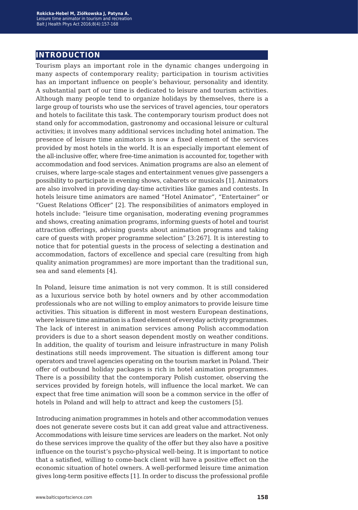## **introduction**

Tourism plays an important role in the dynamic changes undergoing in many aspects of contemporary reality; participation in tourism activities has an important influence on people's behaviour, personality and identity. A substantial part of our time is dedicated to leisure and tourism activities. Although many people tend to organize holidays by themselves, there is a large group of tourists who use the services of travel agencies, tour operators and hotels to facilitate this task. The contemporary tourism product does not stand only for accommodation, gastronomy and occasional leisure or cultural activities; it involves many additional services including hotel animation. The presence of leisure time animators is now a fixed element of the services provided by most hotels in the world. It is an especially important element of the all-inclusive offer, where free-time animation is accounted for, together with accommodation and food services. Animation programs are also an element of cruises, where large-scale stages and entertainment venues give passengers a possibility to participate in evening shows, cabarets or musicals [1]. Animators are also involved in providing day-time activities like games and contests. In hotels leisure time animators are named "Hotel Animator", "Entertainer" or "Guest Relations Officer" [2]. The responsibilities of animators employed in hotels include: "leisure time organisation, moderating evening programmes and shows, creating animation programs, informing guests of hotel and tourist attraction offerings, advising guests about animation programs and taking care of guests with proper programme selection" [3:267]. It is interesting to notice that for potential guests in the process of selecting a destination and accommodation, factors of excellence and special care (resulting from high quality animation programmes) are more important than the traditional sun, sea and sand elements [4].

In Poland, leisure time animation is not very common. It is still considered as a luxurious service both by hotel owners and by other accommodation professionals who are not willing to employ animators to provide leisure time activities. This situation is different in most western European destinations, where leisure time animation is a fixed element of everyday activity programmes. The lack of interest in animation services among Polish accommodation providers is due to a short season dependent mostly on weather conditions. In addition, the quality of tourism and leisure infrastructure in many Polish destinations still needs improvement. The situation is different among tour operators and travel agencies operating on the tourism market in Poland. Their offer of outbound holiday packages is rich in hotel animation programmes. There is a possibility that the contemporary Polish customer, observing the services provided by foreign hotels, will influence the local market. We can expect that free time animation will soon be a common service in the offer of hotels in Poland and will help to attract and keep the customers [5].

Introducing animation programmes in hotels and other accommodation venues does not generate severe costs but it can add great value and attractiveness. Accommodations with leisure time services are leaders on the market. Not only do these services improve the quality of the offer but they also have a positive influence on the tourist's psycho-physical well-being. It is important to notice that a satisfied, willing to come-back client will have a positive effect on the economic situation of hotel owners. A well-performed leisure time animation gives long-term positive effects [1]. In order to discuss the professional profile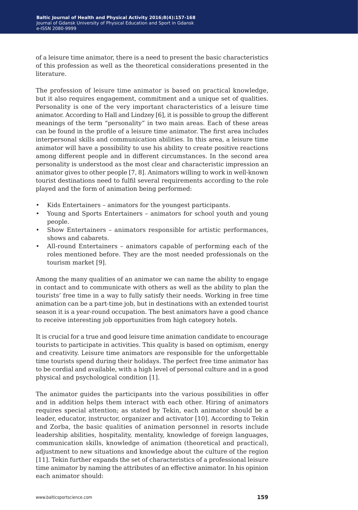of a leisure time animator, there is a need to present the basic characteristics of this profession as well as the theoretical considerations presented in the literature.

The profession of leisure time animator is based on practical knowledge, but it also requires engagement, commitment and a unique set of qualities. Personality is one of the very important characteristics of a leisure time animator. According to Hall and Lindzey [6], it is possible to group the different meanings of the term "personality" in two main areas. Each of these areas can be found in the profile of a leisure time animator. The first area includes interpersonal skills and communication abilities. In this area, a leisure time animator will have a possibility to use his ability to create positive reactions among different people and in different circumstances. In the second area personality is understood as the most clear and characteristic impression an animator gives to other people [7, 8]. Animators willing to work in well-known tourist destinations need to fulfil several requirements according to the role played and the form of animation being performed:

- Kids Entertainers animators for the youngest participants.
- Young and Sports Entertainers animators for school youth and young people.
- Show Entertainers animators responsible for artistic performances, shows and cabarets.
- All-round Entertainers animators capable of performing each of the roles mentioned before. They are the most needed professionals on the tourism market [9].

Among the many qualities of an animator we can name the ability to engage in contact and to communicate with others as well as the ability to plan the tourists' free time in a way to fully satisfy their needs. Working in free time animation can be a part-time job, but in destinations with an extended tourist season it is a year-round occupation. The best animators have a good chance to receive interesting job opportunities from high category hotels.

It is crucial for a true and good leisure time animation candidate to encourage tourists to participate in activities. This quality is based on optimism, energy and creativity. Leisure time animators are responsible for the unforgettable time tourists spend during their holidays. The perfect free time animator has to be cordial and available, with a high level of personal culture and in a good physical and psychological condition [1].

The animator guides the participants into the various possibilities in offer and in addition helps them interact with each other. Hiring of animators requires special attention; as stated by Tekin, each animator should be a leader, educator, instructor, organizer and activator [10]. According to Tekin and Zorba, the basic qualities of animation personnel in resorts include leadership abilities, hospitality, mentality, knowledge of foreign languages, communication skills, knowledge of animation (theoretical and practical), adjustment to new situations and knowledge about the culture of the region [11]. Tekin further expands the set of characteristics of a professional leisure time animator by naming the attributes of an effective animator. In his opinion each animator should: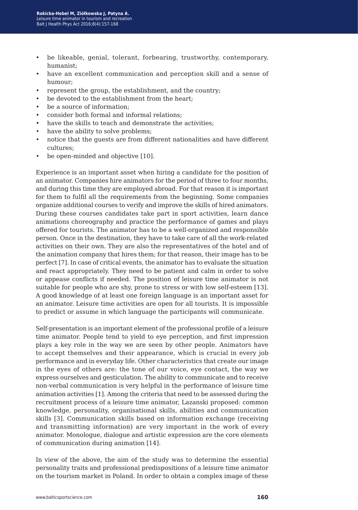- be likeable, genial, tolerant, forbearing, trustworthy, contemporary, humanist;
- have an excellent communication and perception skill and a sense of humour;
- represent the group, the establishment, and the country;
- be devoted to the establishment from the heart;
- be a source of information:
- consider both formal and informal relations;
- have the skills to teach and demonstrate the activities;
- have the ability to solve problems;
- notice that the guests are from different nationalities and have different cultures;
- be open-minded and objective [10].

Experience is an important asset when hiring a candidate for the position of an animator. Companies hire animators for the period of three to four months, and during this time they are employed abroad. For that reason it is important for them to fulfil all the requirements from the beginning. Some companies organize additional courses to verify and improve the skills of hired animators. During these courses candidates take part in sport activities, learn dance animations choreography and practice the performance of games and plays offered for tourists. The animator has to be a well-organized and responsible person. Once in the destination, they have to take care of all the work-related activities on their own. They are also the representatives of the hotel and of the animation company that hires them; for that reason, their image has to be perfect [7]. In case of critical events, the animator has to evaluate the situation and react appropriately. They need to be patient and calm in order to solve or appease conflicts if needed. The position of leisure time animator is not suitable for people who are shy, prone to stress or with low self-esteem [13]. A good knowledge of at least one foreign language is an important asset for an animator. Leisure time activities are open for all tourists. It is impossible to predict or assume in which language the participants will communicate.

Self-presentation is an important element of the professional profile of a leisure time animator. People tend to yield to eye perception, and first impression plays a key role in the way we are seen by other people. Animators have to accept themselves and their appearance, which is crucial in every job performance and in everyday life. Other characteristics that create our image in the eyes of others are: the tone of our voice, eye contact, the way we express ourselves and gesticulation. The ability to communicate and to receive non-verbal communication is very helpful in the performance of leisure time animation activities [1]. Among the criteria that need to be assessed during the recruitment process of a leisure time animator, Lazanski proposed: common knowledge, personality, organisational skills, abilities and communication skills [3]. Communication skills based on information exchange (receiving and transmitting information) are very important in the work of every animator. Monologue, dialogue and artistic expression are the core elements of communication during animation [14].

In view of the above, the aim of the study was to determine the essential personality traits and professional predispositions of a leisure time animator on the tourism market in Poland. In order to obtain a complex image of these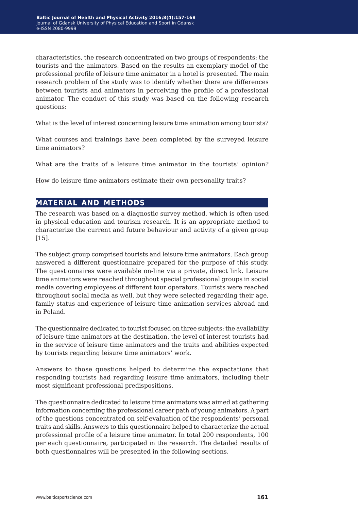characteristics, the research concentrated on two groups of respondents: the tourists and the animators. Based on the results an exemplary model of the professional profile of leisure time animator in a hotel is presented. The main research problem of the study was to identify whether there are differences between tourists and animators in perceiving the profile of a professional animator. The conduct of this study was based on the following research questions:

What is the level of interest concerning leisure time animation among tourists?

What courses and trainings have been completed by the surveyed leisure time animators?

What are the traits of a leisure time animator in the tourists' opinion?

How do leisure time animators estimate their own personality traits?

#### **material and methods**

The research was based on a diagnostic survey method, which is often used in physical education and tourism research. It is an appropriate method to characterize the current and future behaviour and activity of a given group [15].

The subject group comprised tourists and leisure time animators. Each group answered a different questionnaire prepared for the purpose of this study. The questionnaires were available on-line via a private, direct link. Leisure time animators were reached throughout special professional groups in social media covering employees of different tour operators. Tourists were reached throughout social media as well, but they were selected regarding their age, family status and experience of leisure time animation services abroad and in Poland.

The questionnaire dedicated to tourist focused on three subjects: the availability of leisure time animators at the destination, the level of interest tourists had in the service of leisure time animators and the traits and abilities expected by tourists regarding leisure time animators' work.

Answers to those questions helped to determine the expectations that responding tourists had regarding leisure time animators, including their most significant professional predispositions.

The questionnaire dedicated to leisure time animators was aimed at gathering information concerning the professional career path of young animators. A part of the questions concentrated on self-evaluation of the respondents' personal traits and skills. Answers to this questionnaire helped to characterize the actual professional profile of a leisure time animator. In total 200 respondents, 100 per each questionnaire, participated in the research. The detailed results of both questionnaires will be presented in the following sections.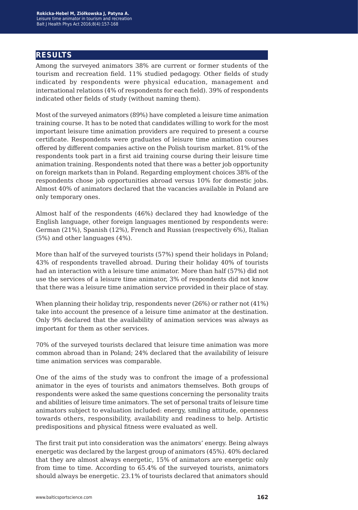### **results**

Among the surveyed animators 38% are current or former students of the tourism and recreation field. 11% studied pedagogy. Other fields of study indicated by respondents were physical education, management and international relations (4% of respondents for each field). 39% of respondents indicated other fields of study (without naming them).

Most of the surveyed animators (89%) have completed a leisure time animation training course. It has to be noted that candidates willing to work for the most important leisure time animation providers are required to present a course certificate. Respondents were graduates of leisure time animation courses offered by different companies active on the Polish tourism market. 81% of the respondents took part in a first aid training course during their leisure time animation training. Respondents noted that there was a better job opportunity on foreign markets than in Poland. Regarding employment choices 38% of the respondents chose job opportunities abroad versus 10% for domestic jobs. Almost 40% of animators declared that the vacancies available in Poland are only temporary ones.

Almost half of the respondents (46%) declared they had knowledge of the English language, other foreign languages mentioned by respondents were: German (21%), Spanish (12%), French and Russian (respectively 6%), Italian (5%) and other languages (4%).

More than half of the surveyed tourists (57%) spend their holidays in Poland; 43% of respondents travelled abroad. During their holiday 40% of tourists had an interaction with a leisure time animator. More than half (57%) did not use the services of a leisure time animator, 3% of respondents did not know that there was a leisure time animation service provided in their place of stay.

When planning their holiday trip, respondents never (26%) or rather not (41%) take into account the presence of a leisure time animator at the destination. Only 9% declared that the availability of animation services was always as important for them as other services.

70% of the surveyed tourists declared that leisure time animation was more common abroad than in Poland; 24% declared that the availability of leisure time animation services was comparable.

One of the aims of the study was to confront the image of a professional animator in the eyes of tourists and animators themselves. Both groups of respondents were asked the same questions concerning the personality traits and abilities of leisure time animators. The set of personal traits of leisure time animators subject to evaluation included: energy, smiling attitude, openness towards others, responsibility, availability and readiness to help. Artistic predispositions and physical fitness were evaluated as well.

The first trait put into consideration was the animators' energy. Being always energetic was declared by the largest group of animators (45%). 40% declared that they are almost always energetic, 15% of animators are energetic only from time to time. According to 65.4% of the surveyed tourists, animators should always be energetic. 23.1% of tourists declared that animators should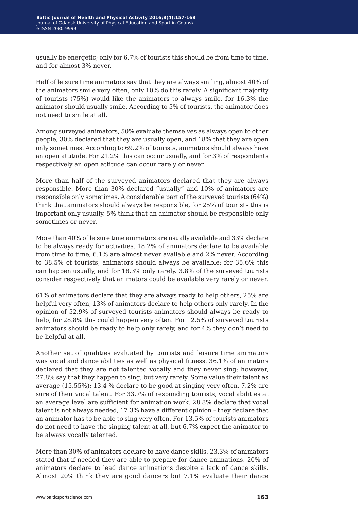usually be energetic; only for 6.7% of tourists this should be from time to time, and for almost 3% never.

Half of leisure time animators say that they are always smiling, almost 40% of the animators smile very often, only 10% do this rarely. A significant majority of tourists (75%) would like the animators to always smile, for 16.3% the animator should usually smile. According to 5% of tourists, the animator does not need to smile at all.

Among surveyed animators, 50% evaluate themselves as always open to other people, 30% declared that they are usually open, and 18% that they are open only sometimes. According to 69.2% of tourists, animators should always have an open attitude. For 21.2% this can occur usually, and for 3% of respondents respectively an open attitude can occur rarely or never.

More than half of the surveyed animators declared that they are always responsible. More than 30% declared "usually" and 10% of animators are responsible only sometimes. A considerable part of the surveyed tourists (64%) think that animators should always be responsible, for 25% of tourists this is important only usually. 5% think that an animator should be responsible only sometimes or never.

More than 40% of leisure time animators are usually available and 33% declare to be always ready for activities. 18.2% of animators declare to be available from time to time, 6.1% are almost never available and 2% never. According to 38.5% of tourists, animators should always be available; for 35.6% this can happen usually, and for 18.3% only rarely. 3.8% of the surveyed tourists consider respectively that animators could be available very rarely or never.

61% of animators declare that they are always ready to help others, 25% are helpful very often, 13% of animators declare to help others only rarely. In the opinion of 52.9% of surveyed tourists animators should always be ready to help, for 28.8% this could happen very often. For 12.5% of surveyed tourists animators should be ready to help only rarely, and for 4% they don't need to be helpful at all.

Another set of qualities evaluated by tourists and leisure time animators was vocal and dance abilities as well as physical fitness. 36.1% of animators declared that they are not talented vocally and they never sing; however, 27.8% say that they happen to sing, but very rarely. Some value their talent as average (15.55%); 13.4 % declare to be good at singing very often, 7.2% are sure of their vocal talent. For 33.7% of responding tourists, vocal abilities at an average level are sufficient for animation work. 28.8% declare that vocal talent is not always needed, 17.3% have a different opinion – they declare that an animator has to be able to sing very often. For 13.5% of tourists animators do not need to have the singing talent at all, but 6.7% expect the animator to be always vocally talented.

More than 30% of animators declare to have dance skills. 23.3% of animators stated that if needed they are able to prepare for dance animations. 20% of animators declare to lead dance animations despite a lack of dance skills. Almost 20% think they are good dancers but 7.1% evaluate their dance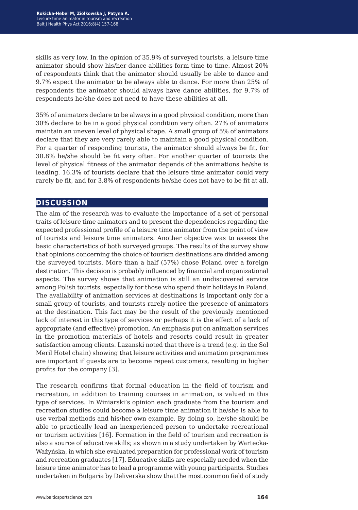skills as very low. In the opinion of 35.9% of surveyed tourists, a leisure time animator should show his/her dance abilities form time to time. Almost 20% of respondents think that the animator should usually be able to dance and 9.7% expect the animator to be always able to dance. For more than 25% of respondents the animator should always have dance abilities, for 9.7% of respondents he/she does not need to have these abilities at all.

35% of animators declare to be always in a good physical condition, more than 30% declare to be in a good physical condition very often. 27% of animators maintain an uneven level of physical shape. A small group of 5% of animators declare that they are very rarely able to maintain a good physical condition. For a quarter of responding tourists, the animator should always be fit, for 30.8% he/she should be fit very often. For another quarter of tourists the level of physical fitness of the animator depends of the animations he/she is leading. 16.3% of tourists declare that the leisure time animator could very rarely be fit, and for 3.8% of respondents he/she does not have to be fit at all.

#### **discussion**

The aim of the research was to evaluate the importance of a set of personal traits of leisure time animators and to present the dependencies regarding the expected professional profile of a leisure time animator from the point of view of tourists and leisure time animators. Another objective was to assess the basic characteristics of both surveyed groups. The results of the survey show that opinions concerning the choice of tourism destinations are divided among the surveyed tourists. More than a half (57%) chose Poland over a foreign destination. This decision is probably influenced by financial and organizational aspects. The survey shows that animation is still an undiscovered service among Polish tourists, especially for those who spend their holidays in Poland. The availability of animation services at destinations is important only for a small group of tourists, and tourists rarely notice the presence of animators at the destination. This fact may be the result of the previously mentioned lack of interest in this type of services or perhaps it is the effect of a lack of appropriate (and effective) promotion. An emphasis put on animation services in the promotion materials of hotels and resorts could result in greater satisfaction among clients. Lazanski noted that there is a trend (e.g. in the Sol Meril Hotel chain) showing that leisure activities and animation programmes are important if guests are to become repeat customers, resulting in higher profits for the company [3].

The research confirms that formal education in the field of tourism and recreation, in addition to training courses in animation, is valued in this type of services. In Winiarski's opinion each graduate from the tourism and recreation studies could become a leisure time animation if he/she is able to use verbal methods and his/her own example. By doing so, he/she should be able to practically lead an inexperienced person to undertake recreational or tourism activities [16]. Formation in the field of tourism and recreation is also a source of educative skills; as shown in a study undertaken by Wartecka-Ważyńska, in which she evaluated preparation for professional work of tourism and recreation graduates [17]. Educative skills are especially needed when the leisure time animator has to lead a programme with young participants. Studies undertaken in Bulgaria by Deliverska show that the most common field of study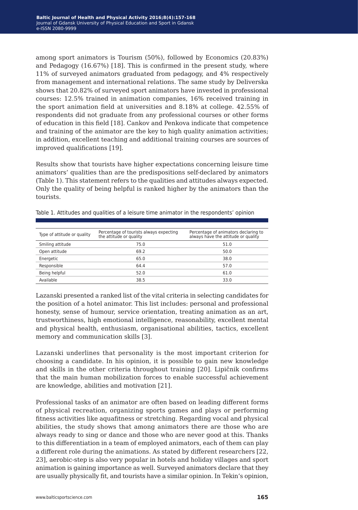among sport animators is Tourism (50%), followed by Economics (20.83%) and Pedagogy (16.67%) [18]. This is confirmed in the present study, where 11% of surveyed animators graduated from pedagogy, and 4% respectively from management and international relations. The same study by Deliverska shows that 20.82% of surveyed sport animators have invested in professional courses: 12.5% trained in animation companies, 16% received training in the sport animation field at universities and 8.18% at college. 42.55% of respondents did not graduate from any professional courses or other forms of education in this field [18]. Cankov and Penkova indicate that competence and training of the animator are the key to high quality animation activities; in addition, excellent teaching and additional training courses are sources of improved qualifications [19].

Results show that tourists have higher expectations concerning leisure time animators' qualities than are the predispositions self-declared by animators (Table 1). This statement refers to the qualities and attitudes always expected. Only the quality of being helpful is ranked higher by the animators than the tourists.

| Type of attitude or quality | Percentage of tourists always expecting<br>the attitude or quality | Percentage of animators declaring to<br>always have the attitude or quality |
|-----------------------------|--------------------------------------------------------------------|-----------------------------------------------------------------------------|
| Smiling attitude            | 75.0                                                               | 51.0                                                                        |
| Open attitude               | 69.2                                                               | 50.0                                                                        |
| Energetic                   | 65.0                                                               | 38.0                                                                        |
| Responsible                 | 64.4                                                               | 57.0                                                                        |
| Being helpful               | 52.0                                                               | 61.0                                                                        |
| Available                   | 38.5                                                               | 33.0                                                                        |

Table 1. Attitudes and qualities of a leisure time animator in the respondents' opinion

Lazanski presented a ranked list of the vital criteria in selecting candidates for the position of a hotel animator. This list includes: personal and professional honesty, sense of humour, service orientation, treating animation as an art, trustworthiness, high emotional intelligence, reasonability, excellent mental and physical health, enthusiasm, organisational abilities, tactics, excellent memory and communication skills [3].

Lazanski underlines that personality is the most important criterion for choosing a candidate. In his opinion, it is possible to gain new knowledge and skills in the other criteria throughout training [20]. Lipičnik confirms that the main human mobilization forces to enable successful achievement are knowledge, abilities and motivation [21].

Professional tasks of an animator are often based on leading different forms of physical recreation, organizing sports games and plays or performing fitness activities like aquafitness or stretching. Regarding vocal and physical abilities, the study shows that among animators there are those who are always ready to sing or dance and those who are never good at this. Thanks to this differentiation in a team of employed animators, each of them can play a different role during the animations. As stated by different researchers [22, 23], aerobic-step is also very popular in hotels and holiday villages and sport animation is gaining importance as well. Surveyed animators declare that they are usually physically fit, and tourists have a similar opinion. In Tekin's opinion,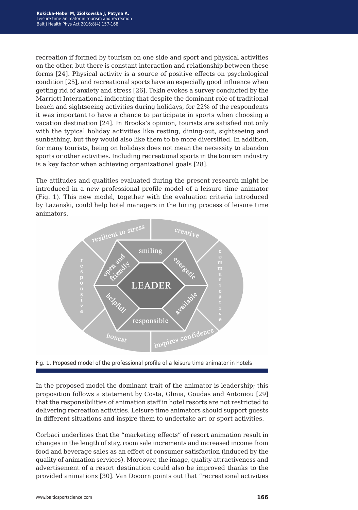recreation if formed by tourism on one side and sport and physical activities on the other, but there is constant interaction and relationship between these forms [24]. Physical activity is a source of positive effects on psychological condition [25], and recreational sports have an especially good influence when getting rid of anxiety and stress [26]. Tekin evokes a survey conducted by the Marriott International indicating that despite the dominant role of traditional beach and sightseeing activities during holidays, for 22% of the respondents it was important to have a chance to participate in sports when choosing a vacation destination [24]. In Brooks's opinion, tourists are satisfied not only with the typical holiday activities like resting, dining-out, sightseeing and sunbathing, but they would also like them to be more diversified. In addition, for many tourists, being on holidays does not mean the necessity to abandon sports or other activities. Including recreational sports in the tourism industry is a key factor when achieving organizational goals [28].

The attitudes and qualities evaluated during the present research might be introduced in a new professional profile model of a leisure time animator (Fig. 1). This new model, together with the evaluation criteria introduced by Lazanski, could help hotel managers in the hiring process of leisure time animators.



Fig. 1. Proposed model of the professional profile of a leisure time animator in hotels

In the proposed model the dominant trait of the animator is leadership; this proposition follows a statement by Costa, Glinia, Goudas and Antoniou [29] that the responsibilities of animation staff in hotel resorts are not restricted to delivering recreation activities. Leisure time animators should support guests in different situations and inspire them to undertake art or sport activities.

Corbaci underlines that the "marketing effects" of resort animation result in changes in the length of stay, room sale increments and increased income from food and beverage sales as an effect of consumer satisfaction (induced by the quality of animation services). Moreover, the image, quality attractiveness and advertisement of a resort destination could also be improved thanks to the provided animations [30]. Van Dooorn points out that "recreational activities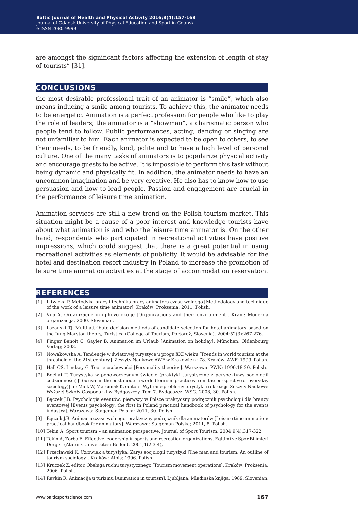are amongst the significant factors affecting the extension of length of stay of tourists" [31].

### **conclusions**

the most desirable professional trait of an animator is "smile", which also means inducing a smile among tourists. To achieve this, the animator needs to be energetic. Animation is a perfect profession for people who like to play the role of leaders; the animator is a "showman", a charismatic person who people tend to follow. Public performances, acting, dancing or singing are not unfamiliar to him. Each animator is expected to be open to others, to see their needs, to be friendly, kind, polite and to have a high level of personal culture. One of the many tasks of animators is to popularize physical activity and encourage guests to be active. It is impossible to perform this task without being dynamic and physically fit. In addition, the animator needs to have an uncommon imagination and be very creative. He also has to know how to use persuasion and how to lead people. Passion and engagement are crucial in the performance of leisure time animation.

Animation services are still a new trend on the Polish tourism market. This situation might be a cause of a poor interest and knowledge tourists have about what animation is and who the leisure time animator is. On the other hand, respondents who participated in recreational activities have positive impressions, which could suggest that there is a great potential in using recreational activities as elements of publicity. It would be advisable for the hotel and destination resort industry in Poland to increase the promotion of leisure time animation activities at the stage of accommodation reservation.

#### **references**

- [1] Litwicka P. Metodyka pracy i technika pracy animatora czasu wolnego [Methodology and technique of the work of a leisure time animator]. Kraków: Proksenia; 2011. Polish.
- [2] Vila A. Organizacije in njihovo okolje [Organizations and their environment]. Kranj: Moderna organizacija, 2000. Slovenian.
- [3] Lazanski TJ. Multi-attribute decision methods of candidate selection for hotel animators based on the Jung-Marston theory, Turistica (College of Tourism, Portorož, Slovenia). 2004;52(3):267-276.
- [4] Finger Benoit C, Gayler B. Animation im Urlaub [Animation on holiday]. Műnchen: Oldenbourg Verlag; 2003.
- [5] Nowakowska A. Tendencje w światowej turystyce u progu XXI wieku [Trends in world tourism at the threshold of the 21st century]. Zeszyty Naukowe AWF w Krakowie nr 78. Kraków: AWF; 1999. Polish.
- [6] Hall CS, Lindzey G. Teorie osobowości [Personality theories]. Warszawa: PWN; 1990,18-20. Polish.
- [7] Bochat T. Turystyka w ponowoczesnym świecie (praktyki turystyczne z perspektywy socjologii codzienności) [Tourism in the post-modern world (tourism practices from the perspective of everyday sociology)] In: Maik W, Marciniak K, editors. Wybrane problemy turystyki i rekreacji. Zeszyty Naukowe Wyższej Szkoły Gospodarki w Bydgoszczy. Tom 7. Bydgoszcz: WSG; 2008, 30. Polish.
- [8] Bączek J.B. Psychologia eventów: pierwszy w Polsce praktyczny podręcznik psychologii dla branży eventowej [Events psychology: the first in Poland practical handbook of psychology for the events industry]. Warszawa: Stageman Polska; 2011, 30. Polish.
- [9] Bączek J.B. Animacja czasu wolnego: praktyczny podręcznik dla animatorów [Leisure time animation: practical handbook for animators]. Warszawa: Stageman Polska; 2011, 8. Polish.
- [10] Tekin A. Sport tourism an animation perspective. Journal of Sport Tourism. 2004;9(4):317-322.
- [11] Tekin A, Zorba E. Effective leadership in sports and recreation organizations. Egitimi ve Spor Bilimleri Dergisi (Ataturk Universitesi Beden). 2001;1(2-3-4),
- [12] Przecławski K. Człowiek a turystyka. Zarys socjologii turystyki [The man and tourism. An outline of tourism sociology]. Kraków: Albis; 1996. Polish.
- [13] Kruczek Z, editor. Obsługa ruchu turystycznego [Tourism movement operations]. Kraków: Proksenia; 2006. Polish.
- [14] Ravkin R. Animacija u turizmu [Animation in tourism]. Ljubljana: Mladinska knjiga; 1989. Slovenian.